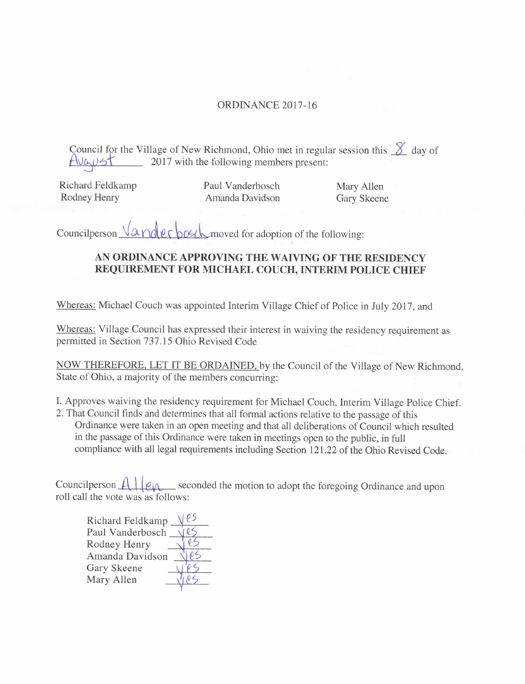## ORDINANCE 2017-16

Council for the Village of New Richmond, Ohio met in regular session this  $\chi$  day of  $T$  $\sqrt{2}$   $\sqrt{5}$   $\sqrt{2}$  2017 with the following members present:

Richard Feldkamp Paul Vanderbosch Mary Allen<br>
Rodney Henry Amanda Davidson Gary Skeene

Amanda Davidson

Councilperson  $\sqrt{\alpha}$  note to bose the moved for adoption of the following:

## AN ORDINANCE APPROVING THE WAIVING OF THE RESIDENCY REQUIREMENT FOR MICHAEL COUCH, INTERIM POLICE CHIEF

Whereas: Michael Couch was appointed Interim Village Chief of Police in July 2017, and

Whereas: Village Council has expressed their interest in waiving the residency requirement as permitted in Section 737. 15 Ohio Revised Code

NOW THEREFORE, LET IT BE ORDAINED, by the Council of the Village of New Richmond, State of Ohio, a majority of the members concurring:

- I. Approves waiving the residency requirement for Michael Couch, Interim Village Police Chief.
- 2. That Council finds and determines that all formal actions relative to the passage of this Ordinance were taken in an open meeting and that all deliberations of Council which resulted in the passage of this Ordinance were taken in meetings open to the public, in full compliance with all legal requirements including Section 121. 22 of the Ohio Revised Code.

Councilperson  $\mathcal{A}$  |  $\mathcal{A}$ <sub>|</sub> seconded the motion to adopt the foregoing Ordinance and upon roll call the vote was as follows:

| Richard Feldkamp |  |
|------------------|--|
| Paul Vanderbosch |  |
| Rodney Henry     |  |
| Amanda Davidson  |  |
| Gary Skeene      |  |
| Mary Allen       |  |